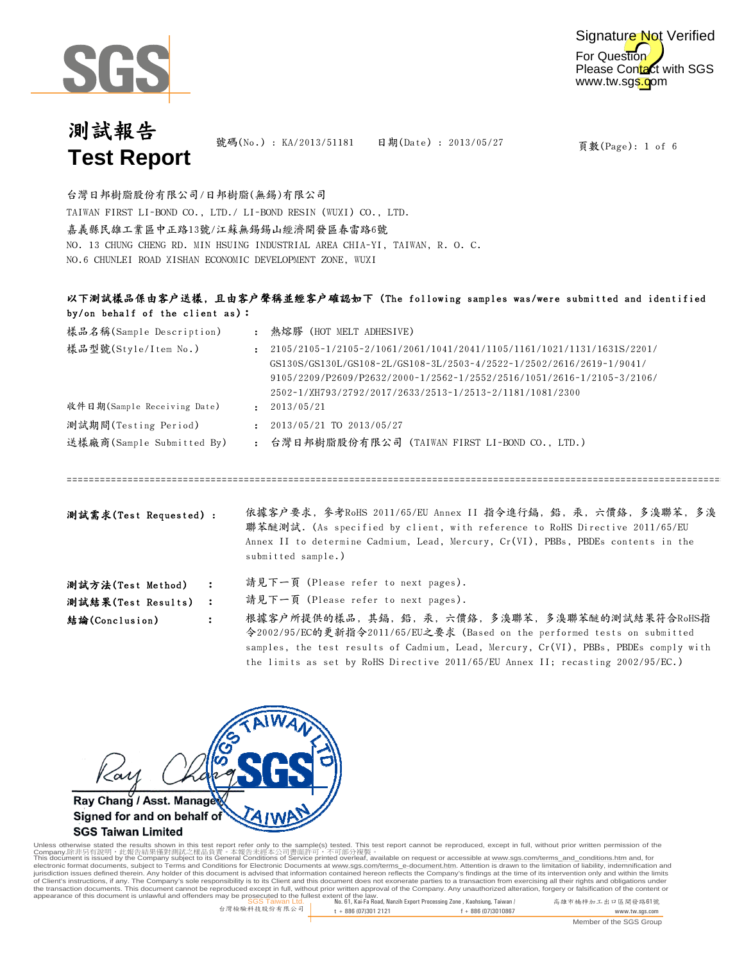



號碼(No.): KA/2013/51181 日期(Date): 2013/05/27

頁數(Page): 1 of 6

嘉義縣民雄工業區中正路13號/江蘇無錫錫山經濟開發區春雷路6號 NO. 13 CHUNG CHENG RD. MIN HSUING INDUSTRIAL AREA CHIA-YI, TAIWAN, R. O. C. NO.6 CHUNLEI ROAD XISHAN ECONOMIC DEVELOPMENT ZONE, WUXI 台灣日邦樹脂股份有限公司/日邦樹脂(無錫)有限公司 TAIWAN FIRST LI-BOND CO., LTD./ LI-BOND RESIN (WUXI) CO., LTD.

### 以下測試樣品係由客戶送樣, 且由客戶聲稱並經客戶確認如下 (The following samples was/were submitted and identified by/on behalf of the client as):

| 樣品名稱(Sample Description)    |              | 熱熔膠(HOT MELT ADHESIVE)                                                                                                                                                                                                                                                                         |
|-----------------------------|--------------|------------------------------------------------------------------------------------------------------------------------------------------------------------------------------------------------------------------------------------------------------------------------------------------------|
| 樣品型號(Style/Item No.)        |              | $: 2105/2105 - 1/2105 - 2/1061/2061/1041/2041/1105/1161/1021/1131/1631S/2201/$<br>GS130S/GS130L/GS108-2L/GS108-3L/2503-4/2522-1/2502/2616/2619-1/9041/<br>$9105/2209/P2609/P2632/2000-1/2562-1/2552/2516/1051/2616-1/2105-3/2106/$<br>2502-1/XH793/2792/2017/2633/2513-1/2513-2/1181/1081/2300 |
| 收件日期(Sample Receiving Date) | $\cdot$      | 2013/05/21                                                                                                                                                                                                                                                                                     |
| 測試期間(Testing Period)        | $\mathbf{r}$ | 2013/05/21 TO 2013/05/27                                                                                                                                                                                                                                                                       |
| 送樣廠商(Sample Submitted By)   |              | : 台灣日邦樹脂股份有限公司 (TAIWAN FIRST LI-BOND CO., LTD.)                                                                                                                                                                                                                                                |
|                             |              |                                                                                                                                                                                                                                                                                                |
|                             |              |                                                                                                                                                                                                                                                                                                |

依據客戶要求, 參考RoHS 2011/65/EU Annex II 指令進行鎘, 鉛, 汞, 六價鉻, 多溴聯苯, 多溴 聯苯醚測試. (As specified by client, with reference to RoHS Directive 2011/65/EU Annex II to determine Cadmium, Lead, Mercury, Cr(VI), PBBs, PBDEs contents in the submitted sample.) 測試需求(Test Requested) :

| 測試方法(Test Method) |  | 請見下一頁 (Please refer to next pages). |  |  |  |  |  |  |
|-------------------|--|-------------------------------------|--|--|--|--|--|--|
|-------------------|--|-------------------------------------|--|--|--|--|--|--|

請見下一頁 (Please refer to next pages). 測試結果(Test Results) :

根據客戶所提供的樣品, 其鎘, 鉛, 汞, 六價鉻, 多溴聯苯, 多溴聯苯醚的測試結果符合RoHS指 令2002/95/EC的更新指令2011/65/EU之要求 (Based on the performed tests on submitted samples, the test results of Cadmium, Lead, Mercury, Cr(VI), PBBs, PBDEs comply with the limits as set by RoHS Directive 2011/65/EU Annex II; recasting 2002/95/EC.) 結論(Conclusion) :



### **SGS Taiwan Limited**

SGS Taiwan Ltd. No. 61, Kai-Fa Road, Nanzih Export Processing Zone , Kaohsiung, Taiwan / 高雄市楠梓加工出口區開發路61號 appearance of this document is unlawful and offenders may be prosecuted to the fullest extent of the law. Unless otherwise stated the results shown in this test report refer only to the sample(s) tested. This test report cannot be reproduced, except in full, without prior written permission of the<br>Company.除非另有設明,此當告決事例測測 in of Client's instructions, if any. The Company's sole responsibility is to its Client and this document does not exonerate parties to a transaction from exercising all their rights and obligations under<br>the transaction docu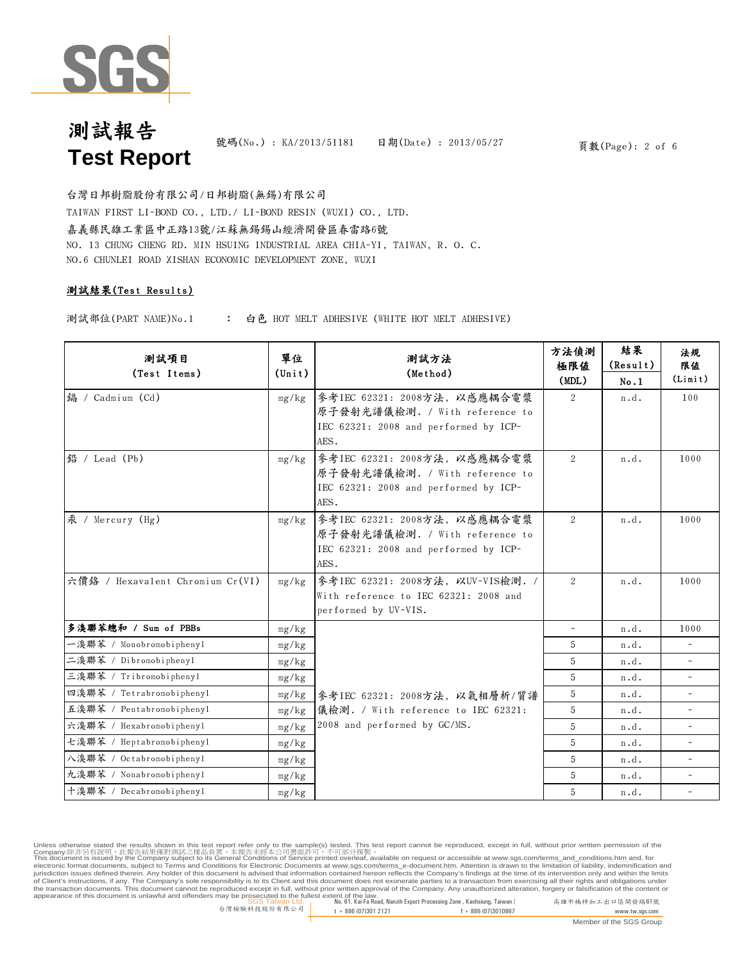

號碼(No.): KA/2013/51181 日期(Date): 2013/05/27

頁數(Page): 2 of 6

嘉義縣民雄工業區中正路13號/江蘇無錫錫山經濟開發區春雷路6號 NO. 13 CHUNG CHENG RD. MIN HSUING INDUSTRIAL AREA CHIA-YI, TAIWAN, R. O. C. NO.6 CHUNLEI ROAD XISHAN ECONOMIC DEVELOPMENT ZONE, WUXI 台灣日邦樹脂股份有限公司/日邦樹脂(無錫)有限公司 TAIWAN FIRST LI-BOND CO., LTD./ LI-BOND RESIN (WUXI) CO., LTD.

### 測試結果(Test Results)

: 測試部位(PART NAME)No.1 白色 HOT MELT ADHESIVE (WHITE HOT MELT ADHESIVE)

| 測試項目<br>(Test Items)             | 單位<br>$(\text{Unit})$ | 測試方法<br>(Method)                                                                                                | 方法偵測<br>極限値<br>(MDL) | 結果<br>(Result)<br>No.1 | 法規<br>限值<br>(Limit)      |
|----------------------------------|-----------------------|-----------------------------------------------------------------------------------------------------------------|----------------------|------------------------|--------------------------|
| 编 / Cadmium (Cd)                 | mg/kg                 | 參考IEC 62321: 2008方法, 以感應耦合電漿<br>原子發射光譜儀檢測. / With reference to<br>IEC 62321: 2008 and performed by ICP-<br>AES. | $\overline{2}$       | n.d.                   | 100                      |
| 鉛 / Lead (Pb)                    | mg/kg                 | 參考IEC 62321: 2008方法, 以感應耦合電漿<br>原子發射光譜儀檢測. / With reference to<br>IEC 62321: 2008 and performed by ICP-<br>AES. | 2                    | n.d.                   | 1000                     |
| 汞 / Mercury (Hg)                 | mg/kg                 | 參考IEC 62321: 2008方法, 以感應耦合電漿<br>原子發射光譜儀檢測. / With reference to<br>IEC 62321: 2008 and performed by ICP-<br>AES. | 2                    | n.d.                   | 1000                     |
| 六價络 / Hexavalent Chromium Cr(VI) | mg/kg                 | 參考IEC 62321: 2008方法, 以UV-VIS檢測. /<br>With reference to IEC 62321: 2008 and<br>performed by UV-VIS.              | 2                    | n.d.                   | 1000                     |
| 多溴聯苯總和 / Sum of PBBs             | mg/kg                 |                                                                                                                 | $\equiv$             | n.d.                   | 1000                     |
| 一溴聯苯 / Monobromobiphenyl         | mg/kg                 |                                                                                                                 | 5                    | n.d.                   | $\overline{\phantom{0}}$ |
| 二溴聯苯 / Dibromobiphenyl           | mg/kg                 |                                                                                                                 | 5                    | n.d.                   |                          |
| 三溴聯苯 / Tribromobiphenyl          | mg/kg                 |                                                                                                                 | 5                    | n.d.                   | $\overline{a}$           |
| 四溴聯苯 / Tetrabromobiphenyl        | mg/kg                 | 參考IEC 62321: 2008方法, 以氣相層析/質譜                                                                                   | 5                    | n.d.                   | $\equiv$                 |
| 五溴聯苯 / Pentabromobiphenyl        | mg/kg                 | 儀檢測. / With reference to IEC 62321:                                                                             | 5                    | n.d.                   | $\overline{\phantom{a}}$ |
| 六溴聯苯 / Hexabromobiphenyl         | mg/kg                 | 2008 and performed by GC/MS.                                                                                    | 5                    | n.d.                   |                          |
| 七溴聯苯 / Heptabromobiphenyl        | mg/kg                 |                                                                                                                 | 5                    | n.d.                   | ÷.                       |
| 入溴聯苯 / Octabromobiphenyl         | mg/kg                 |                                                                                                                 | 5                    | n.d.                   | $\overline{\phantom{a}}$ |
| 九溴聯苯 / Nonabromobiphenyl         | mg/kg                 |                                                                                                                 | 5                    | n.d.                   |                          |
| 十溴聯苯 / Decabromobiphenyl         | mg/kg                 |                                                                                                                 | 5                    | n.d.                   | $\overline{\phantom{a}}$ |

Unless otherwise stated the results shown in this test report refer only to the sample(s) tested. This test report cannot be reproduced, except in full, without prior written permission of the<br>Company.除非另有設明,此當告決事例測測 in of Client's instructions, if any. The Company's sole responsibility is to its Client and this document does not exonerate parties to a transaction from exercising all their rights and obligations under<br>the transaction docu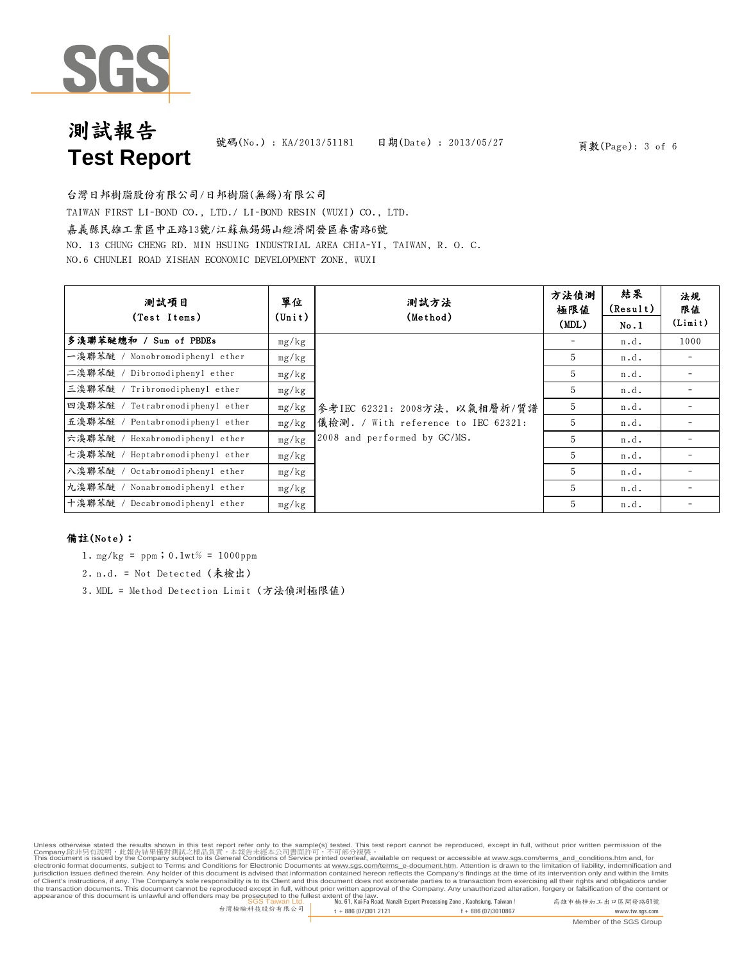

號碼(No.): KA/2013/51181 日期(Date): 2013/05/27

頁數(Page): 3 of 6

台灣日邦樹脂股份有限公司/日邦樹脂(無錫)有限公司

TAIWAN FIRST LI-BOND CO., LTD./ LI-BOND RESIN (WUXI) CO., LTD.

#### 嘉義縣民雄工業區中正路13號/江蘇無錫錫山經濟開發區春雷路6號

NO. 13 CHUNG CHENG RD. MIN HSUING INDUSTRIAL AREA CHIA-YI, TAIWAN, R. O. C.

NO.6 CHUNLEI ROAD XISHAN ECONOMIC DEVELOPMENT ZONE, WUXI

| 测試項目<br>(Test Items)                | 單位<br>$(\text{Unit})$ | 測試方法<br>(Method)                    | 方法偵測<br>極限値<br>(MDL) | 結果<br>(Result)<br>No.1 | 法規<br>限值<br>(Limit) |
|-------------------------------------|-----------------------|-------------------------------------|----------------------|------------------------|---------------------|
| 多溴聯苯醚總和 /<br>Sum of PBDEs           | mg/kg                 |                                     |                      | n.d.                   | 1000                |
| 一溴聯苯醚 / Monobromodiphenyl ether     | mg/kg                 |                                     | 5                    | n.d.                   |                     |
| 二溴聯苯醚 / Dibromodiphenyl ether       | mg/kg                 |                                     | 5                    | n.d.                   |                     |
| 三溴聯苯醚 / Tribromodiphenyl ether      | mg/kg                 |                                     | 5                    | n.d.                   |                     |
| 四溴聯苯醚 / Tetrabromodiphenyl ether    | mg/kg                 | 參考IEC 62321:2008方法,以氣相層析/質譜         | 5                    | n.d.                   |                     |
| 五溴聯苯醚 / Pentabromodiphenyl ether    | mg/kg                 | 儀檢測. / With reference to IEC 62321: | 5                    | n.d.                   |                     |
| 六溴聯苯醚 /<br>Hexabromodiphenyl ether  | mg/kg                 | 2008 and performed by GC/MS.        | 5                    | n.d.                   |                     |
| 七溴聯苯醚 /<br>Heptabromodiphenyl ether | mg/kg                 |                                     | 5                    | n.d.                   |                     |
| 八溴聯苯醚 /<br>Octabromodiphenyl ether  | mg/kg                 |                                     | 5                    | n.d.                   |                     |
| 九溴聯苯醚 /<br>Nonabromodiphenyl ether  | mg/kg                 |                                     | 5                    | n.d.                   |                     |
| 十溴聯苯醚<br>Decabromodiphenyl ether    | mg/kg                 |                                     | 5                    | n.d.                   |                     |

### 備註(Note):

- 1.  $mg/kg = ppm$ ; 0.1wt% = 1000ppm
- 2. n.d. = Not Detected (未檢出)
- 3. MDL = Method Detection Limit (方法偵測極限值)

Unless otherwise stated the results shown in this test report refer only to the sample(s) tested. This test report cannot be reproduced, except in full, without prior written permission of the<br>Company.除非另有設明,此當告決事例測測 in of Client's instructions, if any. The Company's sole responsibility is to its Client and this document does not exonerate parties to a transaction from exercising all their rights and obligations under<br>the transaction docu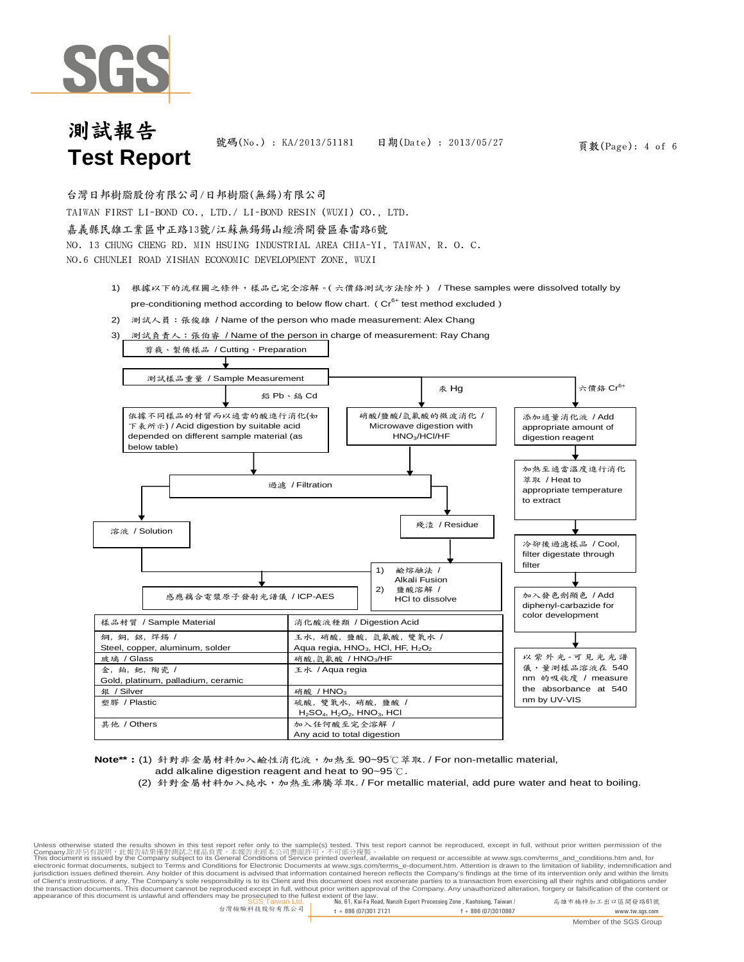

號碼(No.): KA/2013/51181 日期(Date): 2013/05/27

頁數(Page): 4 of 6

台灣日邦樹脂股份有限公司/日邦樹脂(無錫)有限公司

TAIWAN FIRST LI-BOND CO., LTD./ LI-BOND RESIN (WUXI) CO., LTD.

#### 嘉義縣民雄工業區中正路13號/江蘇無錫錫山經濟開發區春雷路6號

NO. 13 CHUNG CHENG RD. MIN HSUING INDUSTRIAL AREA CHIA-YI, TAIWAN, R. O. C. NO.6 CHUNLEI ROAD XISHAN ECONOMIC DEVELOPMENT ZONE, WUXI

- 1) 根據以下的流程圖之條件,樣品已完全溶解。(六價鉻測試方法除外) / These samples were dissolved totally by pre-conditioning method according to below flow chart. ( $Cr<sup>6+</sup>$  test method excluded)
- 2) 測試人員:張俊雄 / Name of the person who made measurement: Alex Chang
- 3) 測試負責人: 張伯睿 / Name of the person in charge of measurement: Ray Chang



**Note\*\***:(1) 針對非金屬材料加入鹼性消化液,加熱至 90~95℃萃取. / For non-metallic material, add alkaline digestion reagent and heat to 90~95℃.

(2) 針對金屬材料加入純水,加熱至沸騰萃取. / For metallic material, add pure water and heat to boiling.

SGS Taiwan Ltd. No. 61, Kai-Fa Road, Nanzih Export Processing Zone , Kaohsiung, Taiwan / 高雄市楠梓加工出口區開發路61號 appearance of this document is unlawful and offenders may be prosecuted to the fullest extent of the law.Unless otherwise stated the results shown in this test report refer only to the sample(s) tested. This test report cannot be reproduced, except in full, without prior written permission of the Company.除非另有說明,此報告結果僅對測試之樣品負責。本報告未經本公司書面許可,不可部分複製。<br>This document is issued by the Company subject to its General Conditions of Service printed overleaf, available on request or accessible at <u>www.sgs.com/terms\_and\_conditi</u> of Client's instructions, if any. The Company's sole responsibility is to its Client and this document does not exonerate parties to a transaction from exercising all their rights and obligations under<br>the transaction docu

台灣檢驗科技股份有限公司 t + 886 (07)301 2121 f + 886 (07)3010867 www.tw.sgs.com

Member of the SGS Group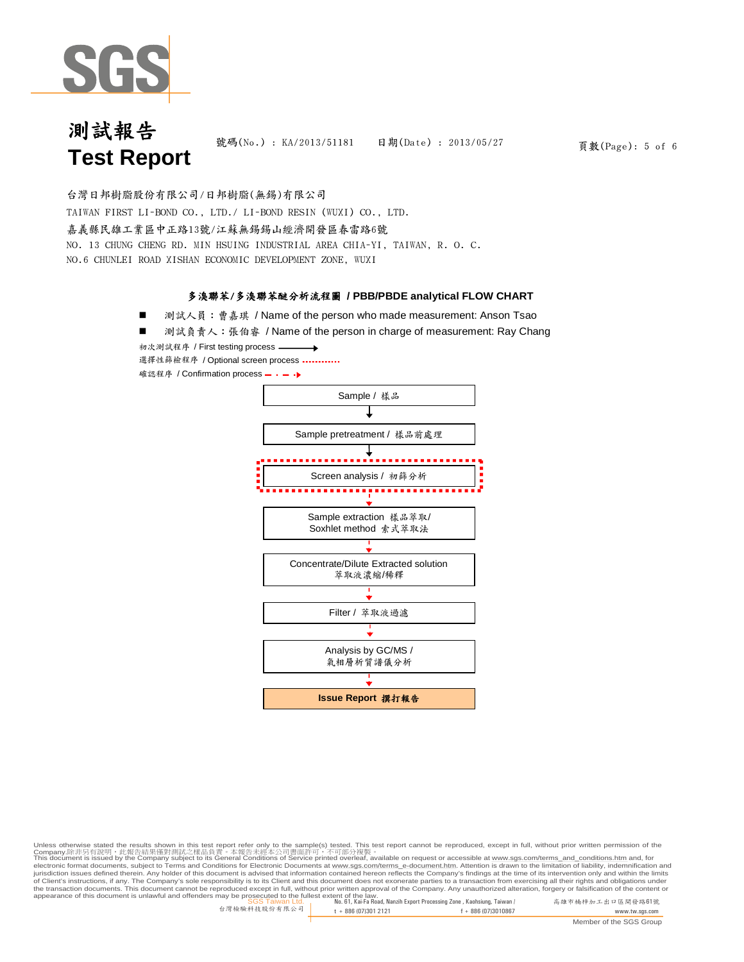

號碼(No.): KA/2013/51181 日期(Date): 2013/05/27

頁數(Page): 5 of 6

嘉義縣民雄工業區中正路13號/江蘇無錫錫山經濟開發區春雷路6號 NO. 13 CHUNG CHENG RD. MIN HSUING INDUSTRIAL AREA CHIA-YI, TAIWAN, R. O. C. NO.6 CHUNLEI ROAD XISHAN ECONOMIC DEVELOPMENT ZONE, WUXI 台灣日邦樹脂股份有限公司/日邦樹脂(無錫)有限公司 TAIWAN FIRST LI-BOND CO., LTD./ LI-BOND RESIN (WUXI) CO., LTD.

### 多溴聯苯/多溴聯苯醚分析流程圖 **/ PBB/PBDE analytical FLOW CHART**

測試人員:曹嘉琪 / Name of the person who made measurement: Anson Tsao

測試負責人: 張伯睿 / Name of the person in charge of measurement: Ray Chang

初次測試程序 / First testing process 選擇性篩檢程序 / Optional screen process ………… 確認程序 / Confirmation process – · – ·▶



Unless otherwise stated the results shown in this test report refer only to the sample(s) tested. This test report cannot be reproduced, except in full, without prior written permission of the

SGS Taiwan Ltd. No. 61, Kai-Fa Road, Nanzih Export Processing Zone , Kaohsiung, Taiwan / 高雄市楠梓加工出口區開發路61號 appearance of this document is unlawful and offenders may be prosecuted to the fullest extent of the law.Company.除非另有說明,此報告結果僅對測試之樣品負責。本報告未經本公司書面許可,不可部分複製。<br>This document is issued by the Company subject to its General Conditions of Service printed overleaf, available on request or accessible at <u>www.sgs.com/terms\_and\_conditi</u> of Client's instructions, if any. The Company's sole responsibility is to its Client and this document does not exonerate parties to a transaction from exercising all their rights and obligations under<br>the transaction docu